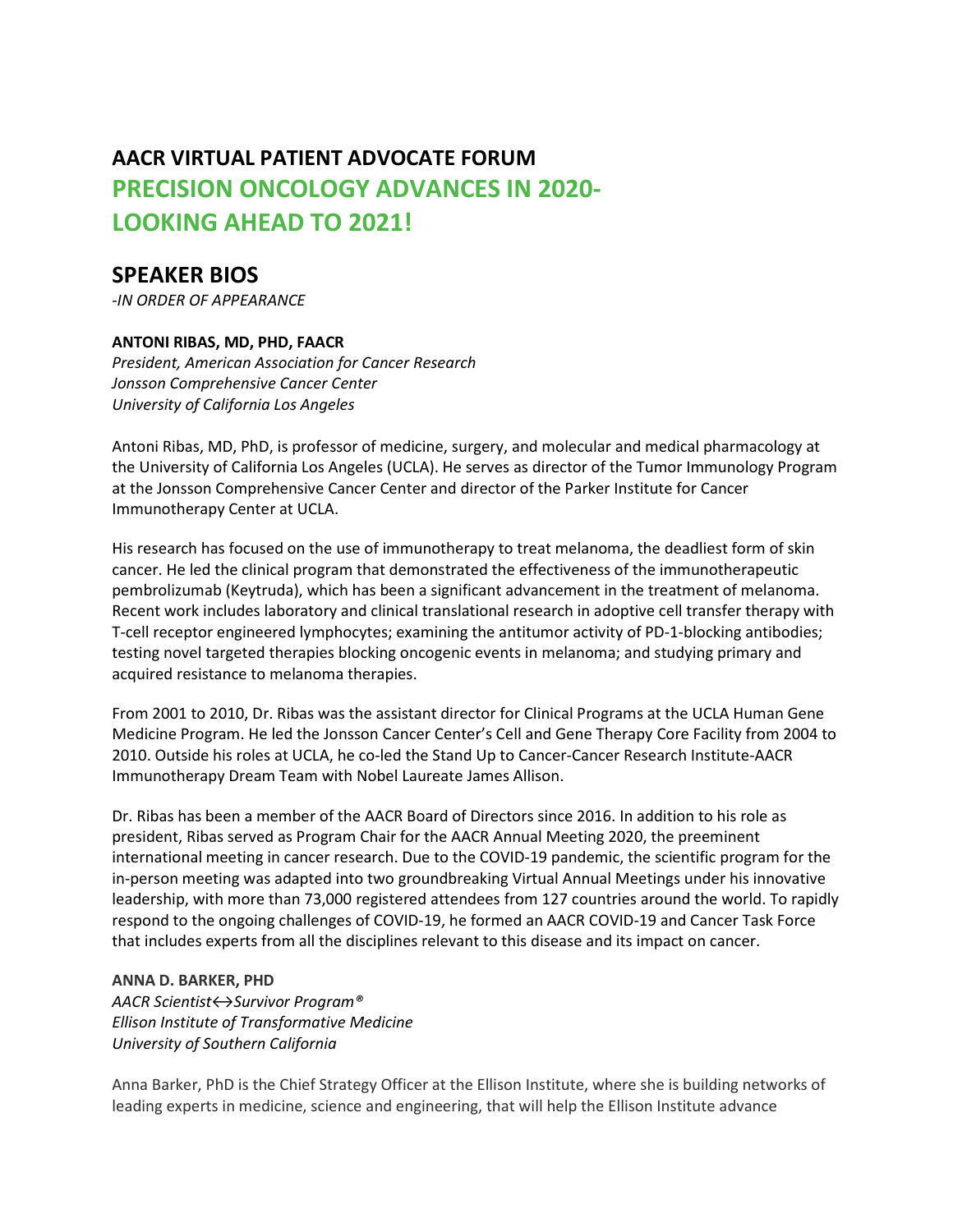# AACR VIRTUAL PATIENT ADVOCATE FORUM PRECISION ONCOLOGY ADVANCES IN 2020- LOOKING AHEAD TO 2021!

## SPEAKER BIOS

-IN ORDER OF APPEARANCE

### ANTONI RIBAS, MD, PHD, FAACR

President, American Association for Cancer Research Jonsson Comprehensive Cancer Center University of California Los Angeles

Antoni Ribas, MD, PhD, is professor of medicine, surgery, and molecular and medical pharmacology at the University of California Los Angeles (UCLA). He serves as director of the Tumor Immunology Program at the Jonsson Comprehensive Cancer Center and director of the Parker Institute for Cancer Immunotherapy Center at UCLA.

His research has focused on the use of immunotherapy to treat melanoma, the deadliest form of skin cancer. He led the clinical program that demonstrated the effectiveness of the immunotherapeutic pembrolizumab (Keytruda), which has been a significant advancement in the treatment of melanoma. Recent work includes laboratory and clinical translational research in adoptive cell transfer therapy with T-cell receptor engineered lymphocytes; examining the antitumor activity of PD-1-blocking antibodies; testing novel targeted therapies blocking oncogenic events in melanoma; and studying primary and acquired resistance to melanoma therapies.

From 2001 to 2010, Dr. Ribas was the assistant director for Clinical Programs at the UCLA Human Gene Medicine Program. He led the Jonsson Cancer Center's Cell and Gene Therapy Core Facility from 2004 to 2010. Outside his roles at UCLA, he co-led the Stand Up to Cancer-Cancer Research Institute-AACR Immunotherapy Dream Team with Nobel Laureate James Allison.

Dr. Ribas has been a member of the AACR Board of Directors since 2016. In addition to his role as president, Ribas served as Program Chair for the AACR Annual Meeting 2020, the preeminent international meeting in cancer research. Due to the COVID-19 pandemic, the scientific program for the in-person meeting was adapted into two groundbreaking Virtual Annual Meetings under his innovative leadership, with more than 73,000 registered attendees from 127 countries around the world. To rapidly respond to the ongoing challenges of COVID-19, he formed an AACR COVID-19 and Cancer Task Force that includes experts from all the disciplines relevant to this disease and its impact on cancer.

#### ANNA D. BARKER, PHD

AACR Scientist 

Survivor Program® Ellison Institute of Transformative Medicine University of Southern California

Anna Barker, PhD is the Chief Strategy Officer at the Ellison Institute, where she is building networks of leading experts in medicine, science and engineering, that will help the Ellison Institute advance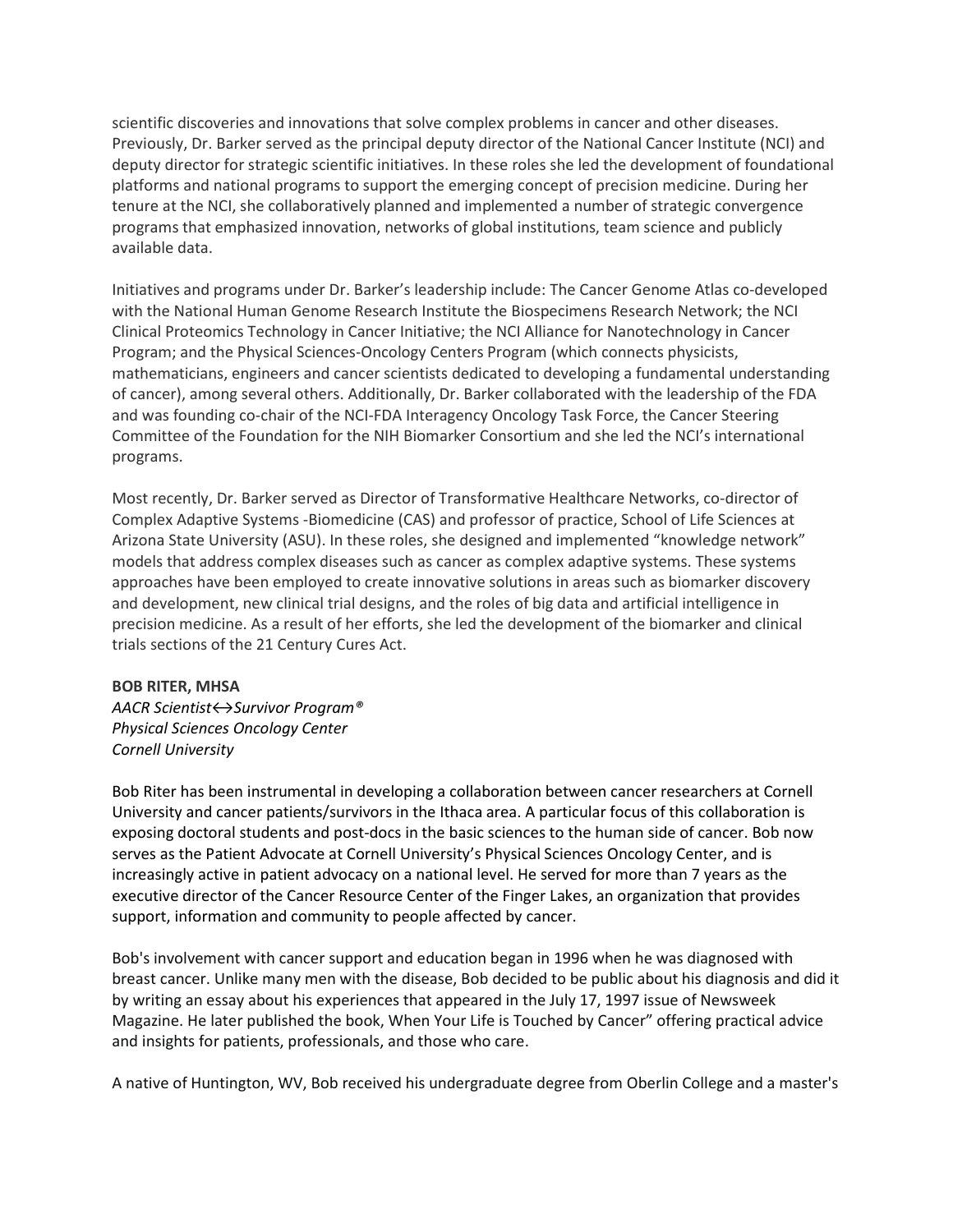scientific discoveries and innovations that solve complex problems in cancer and other diseases. Previously, Dr. Barker served as the principal deputy director of the National Cancer Institute (NCI) and deputy director for strategic scientific initiatives. In these roles she led the development of foundational platforms and national programs to support the emerging concept of precision medicine. During her tenure at the NCI, she collaboratively planned and implemented a number of strategic convergence programs that emphasized innovation, networks of global institutions, team science and publicly available data.

Initiatives and programs under Dr. Barker's leadership include: The Cancer Genome Atlas co-developed with the National Human Genome Research Institute the Biospecimens Research Network; the NCI Clinical Proteomics Technology in Cancer Initiative; the NCI Alliance for Nanotechnology in Cancer Program; and the Physical Sciences-Oncology Centers Program (which connects physicists, mathematicians, engineers and cancer scientists dedicated to developing a fundamental understanding of cancer), among several others. Additionally, Dr. Barker collaborated with the leadership of the FDA and was founding co-chair of the NCI-FDA Interagency Oncology Task Force, the Cancer Steering Committee of the Foundation for the NIH Biomarker Consortium and she led the NCI's international programs.

Most recently, Dr. Barker served as Director of Transformative Healthcare Networks, co-director of Complex Adaptive Systems -Biomedicine (CAS) and professor of practice, School of Life Sciences at Arizona State University (ASU). In these roles, she designed and implemented "knowledge network" models that address complex diseases such as cancer as complex adaptive systems. These systems approaches have been employed to create innovative solutions in areas such as biomarker discovery and development, new clinical trial designs, and the roles of big data and artificial intelligence in precision medicine. As a result of her efforts, she led the development of the biomarker and clinical trials sections of the 21 Century Cures Act.

#### BOB RITER, MHSA

AACR Scientist 
igt>Survivor Program<sup>®</sup> Physical Sciences Oncology Center Cornell University

Bob Riter has been instrumental in developing a collaboration between cancer researchers at Cornell University and cancer patients/survivors in the Ithaca area. A particular focus of this collaboration is exposing doctoral students and post-docs in the basic sciences to the human side of cancer. Bob now serves as the Patient Advocate at Cornell University's Physical Sciences Oncology Center, and is increasingly active in patient advocacy on a national level. He served for more than 7 years as the executive director of the Cancer Resource Center of the Finger Lakes, an organization that provides support, information and community to people affected by cancer.

Bob's involvement with cancer support and education began in 1996 when he was diagnosed with breast cancer. Unlike many men with the disease, Bob decided to be public about his diagnosis and did it by writing an essay about his experiences that appeared in the July 17, 1997 issue of Newsweek Magazine. He later published the book, When Your Life is Touched by Cancer" offering practical advice and insights for patients, professionals, and those who care.

A native of Huntington, WV, Bob received his undergraduate degree from Oberlin College and a master's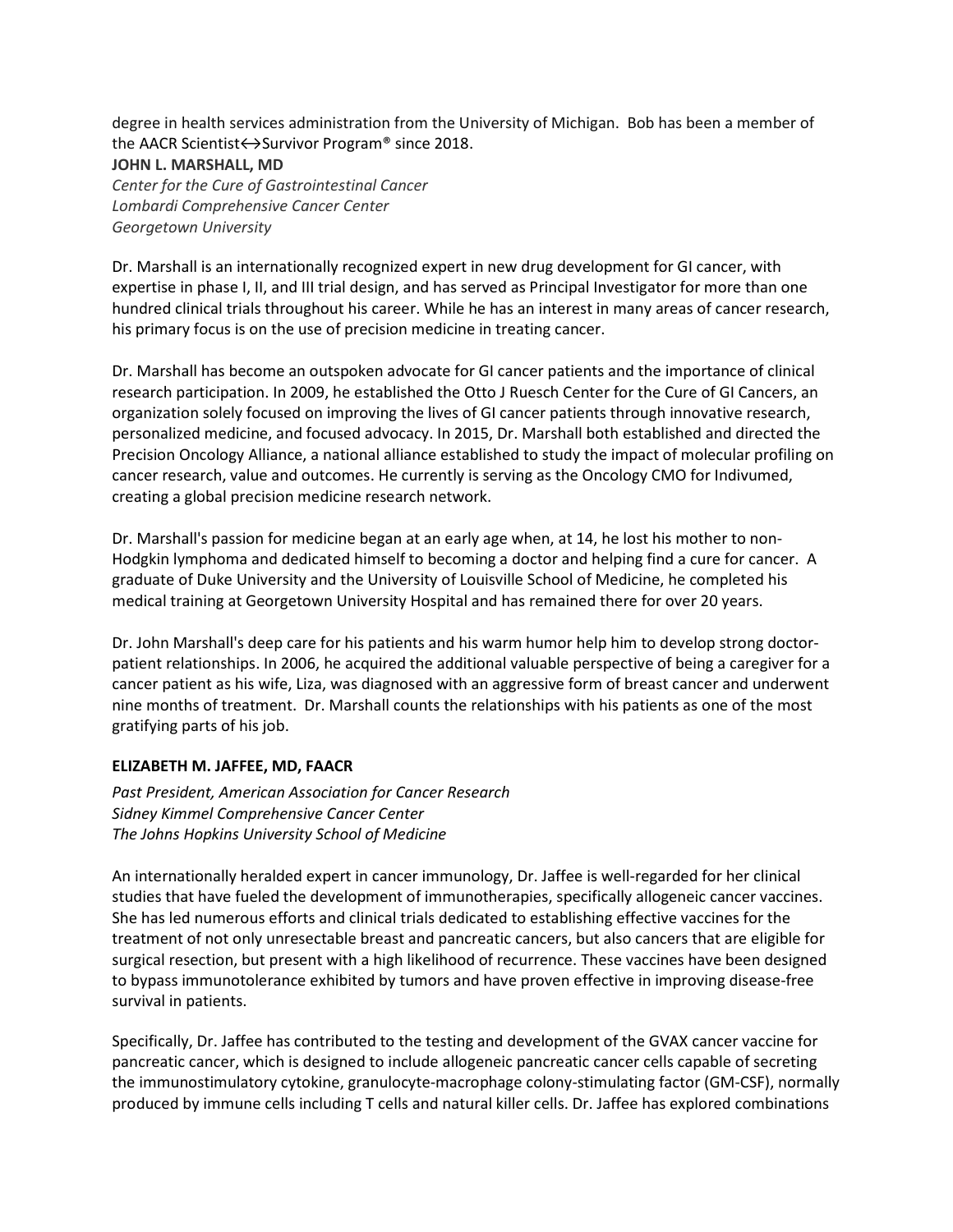degree in health services administration from the University of Michigan. Bob has been a member of the AACR Scientist 
←→Survivor Program<sup>®</sup> since 2018.

#### JOHN L. MARSHALL, MD

Center for the Cure of Gastrointestinal Cancer Lombardi Comprehensive Cancer Center Georgetown University

Dr. Marshall is an internationally recognized expert in new drug development for GI cancer, with expertise in phase I, II, and III trial design, and has served as Principal Investigator for more than one hundred clinical trials throughout his career. While he has an interest in many areas of cancer research, his primary focus is on the use of precision medicine in treating cancer.

Dr. Marshall has become an outspoken advocate for GI cancer patients and the importance of clinical research participation. In 2009, he established the Otto J Ruesch Center for the Cure of GI Cancers, an organization solely focused on improving the lives of GI cancer patients through innovative research, personalized medicine, and focused advocacy. In 2015, Dr. Marshall both established and directed the Precision Oncology Alliance, a national alliance established to study the impact of molecular profiling on cancer research, value and outcomes. He currently is serving as the Oncology CMO for Indivumed, creating a global precision medicine research network.

Dr. Marshall's passion for medicine began at an early age when, at 14, he lost his mother to non-Hodgkin lymphoma and dedicated himself to becoming a doctor and helping find a cure for cancer. A graduate of Duke University and the University of Louisville School of Medicine, he completed his medical training at Georgetown University Hospital and has remained there for over 20 years.

Dr. John Marshall's deep care for his patients and his warm humor help him to develop strong doctorpatient relationships. In 2006, he acquired the additional valuable perspective of being a caregiver for a cancer patient as his wife, Liza, was diagnosed with an aggressive form of breast cancer and underwent nine months of treatment. Dr. Marshall counts the relationships with his patients as one of the most gratifying parts of his job.

#### ELIZABETH M. JAFFEE, MD, FAACR

Past President, American Association for Cancer Research Sidney Kimmel Comprehensive Cancer Center The Johns Hopkins University School of Medicine

An internationally heralded expert in cancer immunology, Dr. Jaffee is well-regarded for her clinical studies that have fueled the development of immunotherapies, specifically allogeneic cancer vaccines. She has led numerous efforts and clinical trials dedicated to establishing effective vaccines for the treatment of not only unresectable breast and pancreatic cancers, but also cancers that are eligible for surgical resection, but present with a high likelihood of recurrence. These vaccines have been designed to bypass immunotolerance exhibited by tumors and have proven effective in improving disease-free survival in patients.

Specifically, Dr. Jaffee has contributed to the testing and development of the GVAX cancer vaccine for pancreatic cancer, which is designed to include allogeneic pancreatic cancer cells capable of secreting the immunostimulatory cytokine, granulocyte-macrophage colony-stimulating factor (GM-CSF), normally produced by immune cells including T cells and natural killer cells. Dr. Jaffee has explored combinations